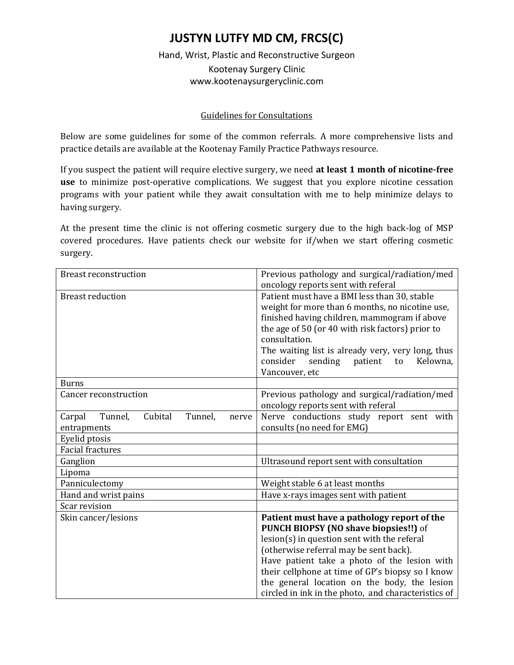## **JUSTYN LUTFY MD CM, FRCS(C)**

## Hand, Wrist, Plastic and Reconstructive Surgeon Kootenay Surgery Clinic www.kootenaysurgeryclinic.com

## Guidelines for Consultations

Below are some guidelines for some of the common referrals. A more comprehensive lists and practice details are available at the Kootenay Family Practice Pathways resource.

If you suspect the patient will require elective surgery, we need **at least 1 month of nicotine-free use** to minimize post-operative complications. We suggest that you explore nicotine cessation programs with your patient while they await consultation with me to help minimize delays to having surgery.

At the present time the clinic is not offering cosmetic surgery due to the high back-log of MSP covered procedures. Have patients check our website for if/when we start offering cosmetic surgery.

| <b>Breast reconstruction</b>                                    | Previous pathology and surgical/radiation/med<br>oncology reports sent with referal                                                                                                                                                                                                                                                                                                      |
|-----------------------------------------------------------------|------------------------------------------------------------------------------------------------------------------------------------------------------------------------------------------------------------------------------------------------------------------------------------------------------------------------------------------------------------------------------------------|
| <b>Breast reduction</b>                                         | Patient must have a BMI less than 30, stable<br>weight for more than 6 months, no nicotine use,<br>finished having children, mammogram if above<br>the age of 50 (or 40 with risk factors) prior to<br>consultation.<br>The waiting list is already very, very long, thus<br>consider<br>sending<br>patient<br>Kelowna,<br>to<br>Vancouver, etc                                          |
| <b>Burns</b>                                                    |                                                                                                                                                                                                                                                                                                                                                                                          |
| Cancer reconstruction                                           | Previous pathology and surgical/radiation/med<br>oncology reports sent with referal                                                                                                                                                                                                                                                                                                      |
| Tunnel,<br>Cubital<br>Tunnel,<br>Carpal<br>nerve<br>entrapments | Nerve conductions study report sent with<br>consults (no need for EMG)                                                                                                                                                                                                                                                                                                                   |
| Eyelid ptosis                                                   |                                                                                                                                                                                                                                                                                                                                                                                          |
| <b>Facial fractures</b>                                         |                                                                                                                                                                                                                                                                                                                                                                                          |
| Ganglion                                                        | Ultrasound report sent with consultation                                                                                                                                                                                                                                                                                                                                                 |
| Lipoma                                                          |                                                                                                                                                                                                                                                                                                                                                                                          |
| Panniculectomy                                                  | Weight stable 6 at least months                                                                                                                                                                                                                                                                                                                                                          |
| Hand and wrist pains                                            | Have x-rays images sent with patient                                                                                                                                                                                                                                                                                                                                                     |
| Scar revision                                                   |                                                                                                                                                                                                                                                                                                                                                                                          |
| Skin cancer/lesions                                             | Patient must have a pathology report of the<br>PUNCH BIOPSY (NO shave biopsies!!) of<br>lesion(s) in question sent with the referal<br>(otherwise referral may be sent back).<br>Have patient take a photo of the lesion with<br>their cellphone at time of GP's biopsy so I know<br>the general location on the body, the lesion<br>circled in ink in the photo, and characteristics of |